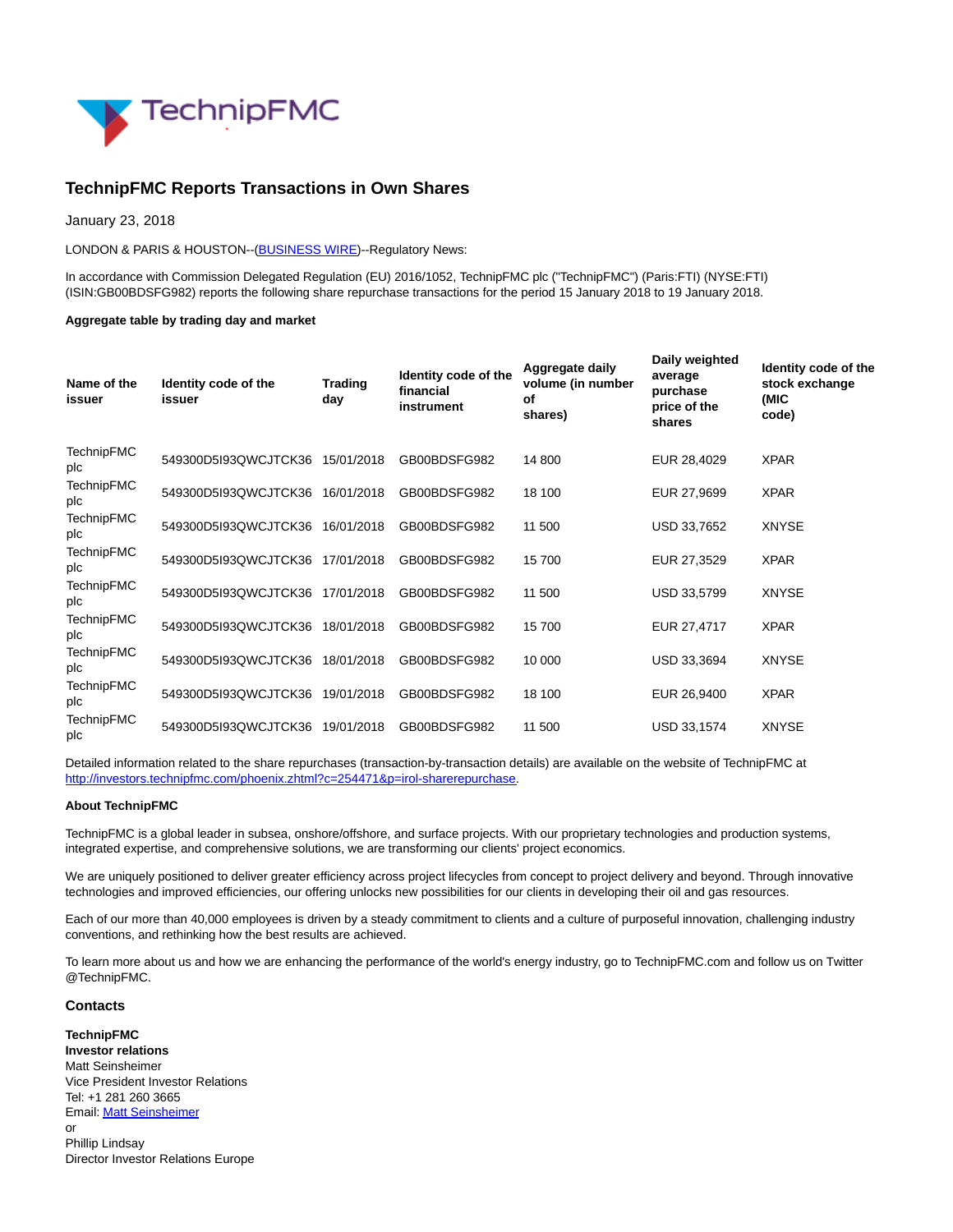

## **TechnipFMC Reports Transactions in Own Shares**

January 23, 2018

LONDON & PARIS & HOUSTON--[\(BUSINESS WIRE\)](https://www.businesswire.com/)--Regulatory News:

In accordance with Commission Delegated Regulation (EU) 2016/1052, TechnipFMC plc ("TechnipFMC") (Paris:FTI) (NYSE:FTI) (ISIN:GB00BDSFG982) reports the following share repurchase transactions for the period 15 January 2018 to 19 January 2018.

## **Aggregate table by trading day and market**

| Name of the<br>issuer    | Identity code of the<br>issuer | <b>Trading</b><br>day | Identity code of the<br>financial<br>instrument | Aggregate daily<br>volume (in number<br>οf<br>shares) | Daily weighted<br>average<br>purchase<br>price of the<br>shares | Identity code of the<br>stock exchange<br>(MIC<br>code) |
|--------------------------|--------------------------------|-----------------------|-------------------------------------------------|-------------------------------------------------------|-----------------------------------------------------------------|---------------------------------------------------------|
| TechnipFMC<br>plc        | 549300D5193QWCJTCK36           | 15/01/2018            | GB00BDSFG982                                    | 14 800                                                | EUR 28,4029                                                     | <b>XPAR</b>                                             |
| TechnipFMC<br>plc        | 549300D5I93QWCJTCK36           | 16/01/2018            | GB00BDSFG982                                    | 18 100                                                | EUR 27,9699                                                     | <b>XPAR</b>                                             |
| <b>TechnipFMC</b><br>plc | 549300D5I93QWCJTCK36           | 16/01/2018            | GB00BDSFG982                                    | 11 500                                                | USD 33,7652                                                     | <b>XNYSE</b>                                            |
| TechnipFMC<br>plc        | 549300D5I93QWCJTCK36           | 17/01/2018            | GB00BDSFG982                                    | 15700                                                 | EUR 27,3529                                                     | <b>XPAR</b>                                             |
| TechnipFMC<br>plc        | 549300D5I93QWCJTCK36           | 17/01/2018            | GB00BDSFG982                                    | 11 500                                                | USD 33,5799                                                     | <b>XNYSE</b>                                            |
| <b>TechnipFMC</b><br>plc | 549300D5I93QWCJTCK36           | 18/01/2018            | GB00BDSFG982                                    | 15700                                                 | EUR 27,4717                                                     | <b>XPAR</b>                                             |
| <b>TechnipFMC</b><br>plc | 549300D5I93QWCJTCK36           | 18/01/2018            | GB00BDSFG982                                    | 10 000                                                | USD 33,3694                                                     | <b>XNYSE</b>                                            |
| TechnipFMC<br>plc        | 549300D5I93QWCJTCK36           | 19/01/2018            | GB00BDSFG982                                    | 18 100                                                | EUR 26,9400                                                     | <b>XPAR</b>                                             |
| TechnipFMC<br>plc        | 549300D5I93QWCJTCK36           | 19/01/2018            | GB00BDSFG982                                    | 11 500                                                | USD 33,1574                                                     | <b>XNYSE</b>                                            |

Detailed information related to the share repurchases (transaction-by-transaction details) are available on the website of TechnipFMC at [http://investors.technipfmc.com/phoenix.zhtml?c=254471&p=irol-sharerepurchase.](http://cts.businesswire.com/ct/CT?id=smartlink&url=http%3A%2F%2Finvestors.technipfmc.com%2Fphoenix.zhtml%3Fc%3D254471%26p%3Dirol-sharerepurchase&esheet=51747427&newsitemid=20180123005803&lan=en-US&anchor=http%3A%2F%2Finvestors.technipfmc.com%2Fphoenix.zhtml%3Fc%3D254471%26p%3Dirol-sharerepurchase&index=1&md5=f00f72513ec62b7f29cd02f45a3df845)

## **About TechnipFMC**

TechnipFMC is a global leader in subsea, onshore/offshore, and surface projects. With our proprietary technologies and production systems, integrated expertise, and comprehensive solutions, we are transforming our clients' project economics.

We are uniquely positioned to deliver greater efficiency across project lifecycles from concept to project delivery and beyond. Through innovative technologies and improved efficiencies, our offering unlocks new possibilities for our clients in developing their oil and gas resources.

Each of our more than 40,000 employees is driven by a steady commitment to clients and a culture of purposeful innovation, challenging industry conventions, and rethinking how the best results are achieved.

To learn more about us and how we are enhancing the performance of the world's energy industry, go to TechnipFMC.com and follow us on Twitter @TechnipFMC.

## **Contacts**

**TechnipFMC Investor relations** Matt Seinsheimer Vice President Investor Relations Tel: +1 281 260 3665 Email[: Matt Seinsheimer](mailto:InvestorRelations@TechnipFMC.com) or

Phillip Lindsay Director Investor Relations Europe